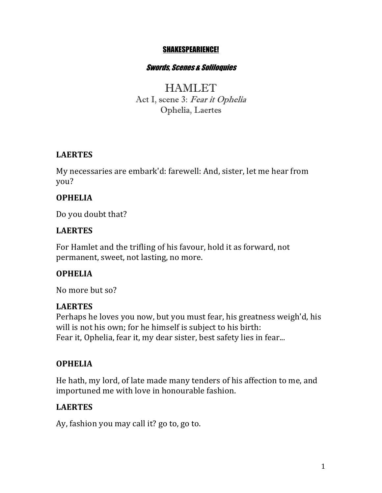#### SHAKESPEARIENCE!

#### Swords, Scenes & Soliloquies

**HAMLET** Act I, scene 3: Fear it Ophelia Ophelia, Laertes

## **LAERTES**

My necessaries are embark'd: farewell: And, sister, let me hear from you?

## **OPHELIA**

Do you doubt that?

## **LAERTES**

For Hamlet and the trifling of his favour, hold it as forward, not permanent, sweet, not lasting, no more.

## **OPHELIA**

No more but so?

## **LAERTES**

Perhaps he loves you now, but you must fear, his greatness weigh'd, his will is not his own; for he himself is subject to his birth: Fear it, Ophelia, fear it, my dear sister, best safety lies in fear...

## **OPHELIA**

He hath, my lord, of late made many tenders of his affection to me, and importuned me with love in honourable fashion.

# **LAERTES**

Ay, fashion you may call it? go to, go to.